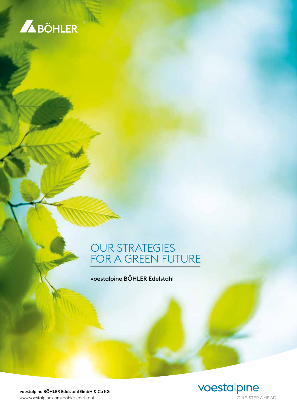

### OUR STRATEGIES FOR A GREEN FUTURE

voestalpine BÖHLER Edelstahl



voestalpine BÖHLER Edelstahl GmbH & Co KG www.voestalpine.com/bohler-edelstahl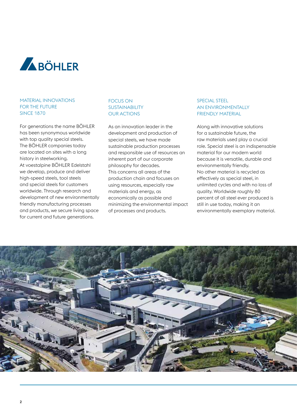

#### MATERIAL INNOVATIONS FOR THE FUTURE SINCE 1870

For generations the name BÖHLER has been synonymous worldwide with top quality special steels. The BÖHLER companies today are located on sites with a long history in steelworking. At voestalpine BÖHLER Edelstahl we develop, produce and deliver high-speed steels, tool steels and special steels for customers worldwide. Through research and development of new environmentally friendly manufacturing processes and products, we secure living space for current and future generations.

#### FOCUS ON SUSTAINABILITY OUR ACTIONS

As an innovation leader in the development and production of special steels, we have made sustainable production processes and responsible use of resources an inherent part of our corporate philosophy for decades. This concerns all areas of the production chain and focuses on using resources, especially raw materials and energy, as economically as possible and minimizing the environmental impact of processes and products.

#### SPECIAL STEEL AN ENVIRONMENTALLY FRIENDLY MATERIAL

Along with innovative solutions for a sustainable future, the raw materials used play a crucial role. Special steel is an indispensable material for our modern world because it is versatile, durable and environmentally friendly. No other material is recycled as effectively as special steel, in unlimited cycles and with no loss of quality. Worldwide roughly 80 percent of all steel ever produced is still in use today, making it an environmentally exemplary material.

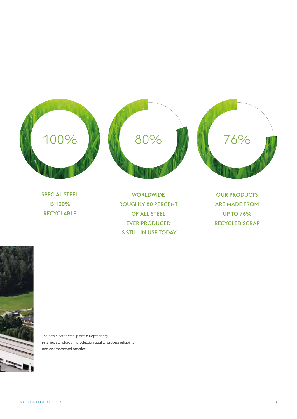





SPECIAL STEEL IS 100% RECYCLABLE

WORLDWIDE ROUGHLY 80 PERCENT OF ALL STEEL EVER PRODUCED IS STILL IN USE TODAY

OUR PRODUCTS ARE MADE FROM UP TO 76% RECYCLED SCRAP



The new electric steel plant in Kapfenberg sets new standards in production quality, process reliability and environmental practice.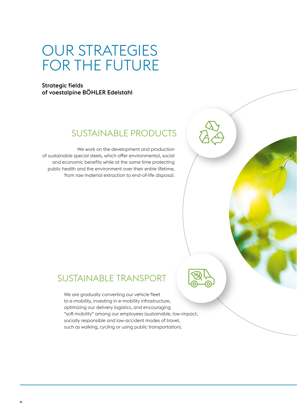### OUR STRATEGIES FOR THE FUTURE

Strategic fields of voestalpine BÖHLER Edelstahl

### SUSTAINABLE PRODUCTS

We work on the development and production of sustainable special steels, which offer environmental, social and economic benefits while at the same time protecting public health and the environment over their entire lifetime, from raw material extraction to end-of-life disposal.

### SUSTAINABLE TRANSPORT

We are gradually converting our vehicle fleet to e-mobility, investing in e-mobility infrastructure, optimizing our delivery logistics, and encouraging "soft mobility" among our employees (sustainable, low-impact, socially responsible and low-accident modes of travel, such as walking, cycling or using public transportation).

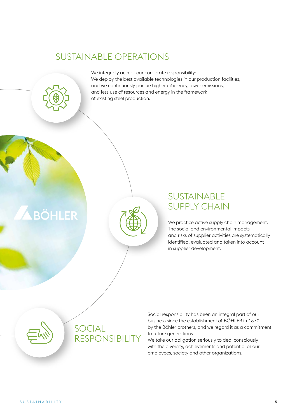### SUSTAINABLE OPERATIONS



**BÖHLER** 



### SUSTAINABLE SUPPLY CHAIN

We practice active supply chain management. The social and environmental impacts and risks of supplier activities are systematically identified, evaluated and taken into account in supplier development.



SOCIAL RESPONSIBILITY Social responsibility has been an integral part of our business since the establishment of BÖHLER in 1870 by the Böhler brothers, and we regard it as a commitment to future generations.

We take our obligation seriously to deal consciously with the diversity, achievements and potential of our employees, society and other organizations.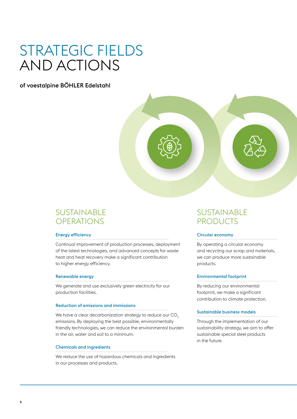### STRATEGIC FIELDS AND ACTIONS

of voestalpine BÖHLER Edelstahl



### SUSTAINABLE **OPERATIONS**

#### Energy efficiency

Continual improvement of production processes, deployment of the latest technologies, and advanced concepts for waste heat and heat recovery make a significant contribution to higher energy efficiency.

#### Renewable energy

We generate and use exclusively green electricity for our production facilities.

#### Reduction of emissions and immissions

We have a clear decarbonization strategy to reduce our CO<sub>2</sub> emissions. By deploying the best possible, environmentally friendly technologies, we can reduce the environmental burden in the air, water and soil to a minimum.

#### Chemicals and ingredients

We reduce the use of hazardous chemicals and ingredients in our processes and products.

### SUSTAINABLE PRODUCTS

#### Circular economy

By operating a circular economy and recycling our scrap and materials, we can produce more sustainable products.

#### Environmental footprint

By reducing our environmental footprint, we make a significant contribution to climate protection.

#### Sustainable business models

Through the implementation of our sustainability strategy, we aim to offer sustainable special steel products in the future.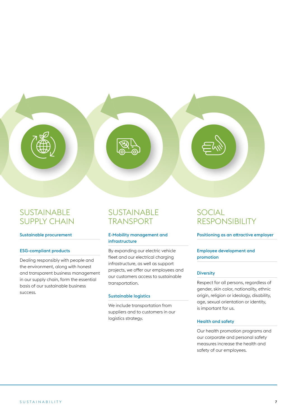SUSTAINABLE SUPPLY CHAIN

#### Sustainable procurement

#### ESG-compliant products

Dealing responsibly with people and the environment, along with honest and transparent business management in our supply chain, form the essential basis of our sustainable business success.

### SUSTAINABLE TRANSPORT

#### E-Mobility management and infrastructure

By expanding our electric vehicle fleet and our electrical charging infrastructure, as well as support projects, we offer our employees and our customers access to sustainable transportation.

#### Sustainable logistics

We include transportation from suppliers and to customers in our logistics strategy.

### SOCIAL RESPONSIBILITY

Positioning as an attractive employer

#### Employee development and promotion

#### **Diversity**

Respect for all persons, regardless of gender, skin color, nationality, ethnic origin, religion or ideology, disability, age, sexual orientation or identity, is important for us.

#### Health and safety

Our health promotion programs and our corporate and personal safety measures increase the health and safety of our employees.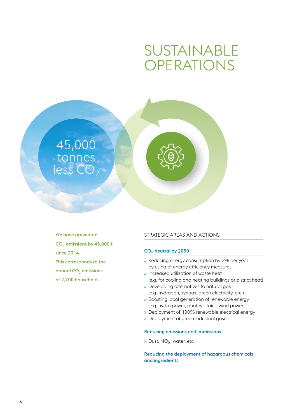## SUSTAINABLE OPERATIONS



We have prevented CO<sub>2</sub> emissions by 45,000 t since 2014. This corresponds to the annual CO<sub>2</sub> emissions of 2,700 households.

#### STRATEGIC AREAS AND ACTIONS

#### CO<sub>2</sub>-neutral by 2050

- » Reducing energy consumption by 2% per year by using of energy efficiency measures
- » Increased utilization of waste heat (e.g. for cooling and heating buildings or district heat)
- » Developing alternatives to natural gas (e.g. hydrogen, syngas, green electricity, etc.)
- » Boosting local generation of renewable energy (e.g. hydro power, photovoltaics, wind power)
- » Deployment of 100% renewable electrical energy
- » Deployment of green industrial gases

#### Reducing emissions and immissions

» Dust, NOx, water, etc.

#### Reducing the deployment of hazardous chemicals and ingredients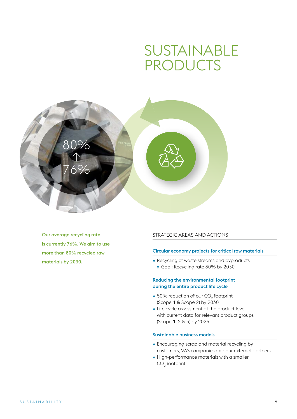### SUSTAINABLE PRODUCTS



Our average recycling rate is currently 76%. We aim to use more than 80% recycled raw materials by 2030.

#### STRATEGIC AREAS AND ACTIONS

#### Circular economy projects for critical raw materials

» Recycling of waste streams and byproducts » Goal: Recycling rate 80% by 2030

#### Reducing the environmental footprint during the entire product life cycle

- $\ast$  50% reduction of our CO<sub>2</sub> footprint (Scope 1 & Scope 2) by 2030
- » Life cycle assessment at the product level with current data for relevant product groups (Scope 1, 2 & 3) by 2025

#### Sustainable business models

- » Encouraging scrap and material recycling by customers, VAS companies and our external partners
- » High-performance materials with a smaller  $CO<sub>2</sub>$  footprint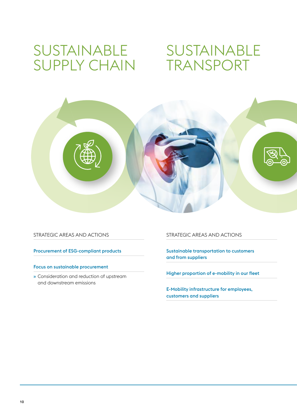### SUSTAINABLE SUPPLY CHAIN TRANSPORT

# SUSTAINABLE



STRATEGIC AREAS AND ACTIONS

Procurement of ESG-compliant products

#### Focus on sustainable procurement

» Consideration and reduction of upstream and downstream emissions

#### STRATEGIC AREAS AND ACTIONS

Sustainable transportation to customers and from suppliers

Higher proportion of e-mobility in our fleet

E-Mobility infrastructure for employees, customers and suppliers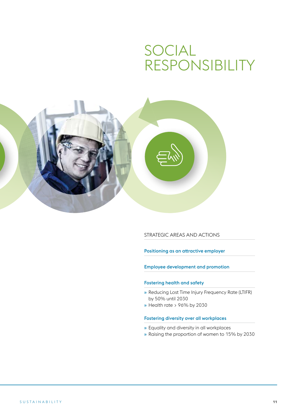### SOCIAL RESPONSIBILITY



STRATEGIC AREAS AND ACTIONS

Positioning as an attractive employer

Employee development and promotion

#### Fostering health and safety

- » Reducing Lost Time Injury Frequency Rate (LTIFR) by 50% until 2030
- » Health rate > 96% by 2030

#### Fostering diversity over all workplaces

- » Equality and diversity in all workplaces
- » Raising the proportion of women to 15% by 2030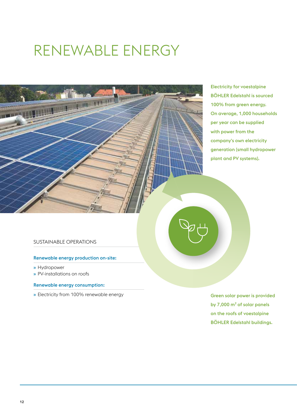# RENEWABLE ENERGY



Electricity for voestalpine BÖHLER Edelstahl is sourced 100% from green energy. On average, 1,000 households per year can be supplied with power from the company's own electricity generation (small hydropower plant and PV systems).

#### SUSTAINABLE OPERATIONS

#### Renewable energy production on-site:

- » Hydropower
- » PV-installations on roofs

#### Renewable energy consumption:

» Electricity from 100% renewable energy

Green solar power is provided by 7,000 m² of solar panels on the roofs of voestalpine BÖHLER Edelstahl buildings.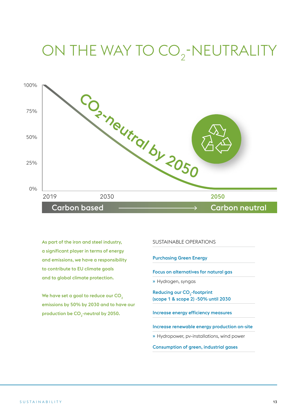# ON THE WAY TO CO<sub>2</sub>-NEUTRALITY



As part of the iron and steel industry, a significant player in terms of energy and emissions, we have a responsibility to contribute to EU climate goals and to global climate protection.

We have set a goal to reduce our CO<sub>2</sub> emissions by 50% by 2030 and to have our production be CO<sub>2</sub>-neutral by 2050.

#### SUSTAINABLE OPERATIONS

Purchasing Green Energy

Focus on alternatives for natural gas

» Hydrogen, syngas

Reducing our CO<sub>2</sub>-footprint (scope 1 & scope 2) -50% until 2030

Increase energy efficiency measures

Increase renewable energy production on-site

» Hydropower, pv-installations, wind power

Consumption of green, industrial gases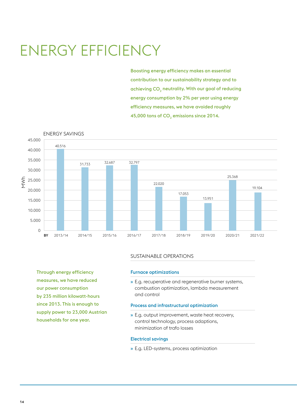# ENERGY EFFICIENCY

Boosting energy efficiency makes an essential contribution to our sustainability strategy and to achieving  $CO<sub>2</sub>$  neutrality. With our goal of reducing energy consumption by 2% per year using energy efficiency measures, we have avoided roughly 45,000 tons of  $CO<sub>2</sub>$  emissions since 2014.



#### SUSTAINABLE OPERATIONS

Furnace optimizations

» E.g. recuperative and regenerative burner systems, combustion optimization, lambda measurement and control

#### Process and infrastructural optimization

» E.g. output improvement, waste heat recovery, control technology, process adaptions, minimization of trafo losses

#### Electrical savings

» E.g. LED-systems, process optimization

Through energy efficiency measures, we have reduced our power consumption by 235 million kilowatt-hours since 2013. This is enough to supply power to 23,000 Austrian households for one year.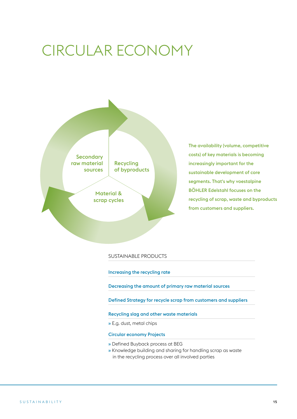# CIRCULAR ECONOMY



The availability (volume, competitive costs) of key materials is becoming increasingly important for the sustainable development of core segments. That's why voestalpine BÖHLER Edelstahl focuses on the recycling of scrap, waste and byproducts from customers and suppliers.

#### SUSTAINABLE PRODUCTS

Increasing the recycling rate

Decreasing the amount of primary raw material sources

Defined Strategy for recycle scrap from customers and suppliers

Recycling slag and other waste materials

» E.g. dust, metal chips

#### Circular economy Projects

- » Defined Buyback process at BEG
- » Knowledge building and sharing for handling scrap as waste in the recycling process over all involved parties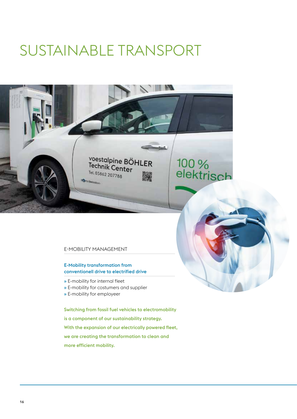# SUSTAINABLE TRANSPORT



#### E-MOBILITY MANAGEMENT

#### E-Mobility transformation from conventionell drive to electrified drive

- » E-mobility for internal fleet
- » E-mobility for costumers and supplier
- » E-mobility for employeer

Switching from fossil fuel vehicles to electromobility is a component of our sustainability strategy. With the expansion of our electrically powered fleet, we are creating the transformation to clean and more efficient mobility.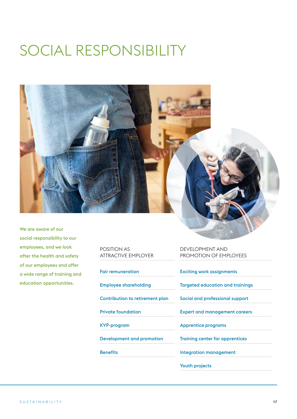# SOCIAL RESPONSIBILITY



We are aware of our social responsibility to our employees, and we look after the health and safety of our employees and offer a wide range of training and education opportunities.

| <b>POSITION AS</b><br><b>ATTRACTIVE FMPI OYER</b> |
|---------------------------------------------------|
| <b>Fair remuneration</b>                          |
| <b>Employee shareholding</b>                      |
| Contribution to retirement plan                   |
| <b>Private foundation</b>                         |
| KVP-program                                       |
| Development and promotion                         |
| <b>Benefits</b>                                   |
|                                                   |

DEVELOPMENT AND PROMOTION OF EMPLOYEES

Exciting work assignments

Targeted education and trainings

Social and professional support

Expert and management careers

Apprentice programs

Training center for apprentices

Integration management

Youth projects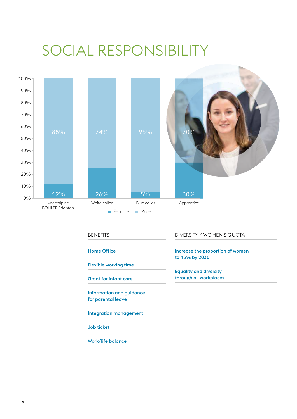# SOCIAL RESPONSIBILITY



Home Office

Flexible working time

Grant for infant care

Information and guidance for parental leave

Integration management

Job ticket

Work/life balance

Increase the proportion of women

to 15% by 2030 Equality and diversity

through all workplaces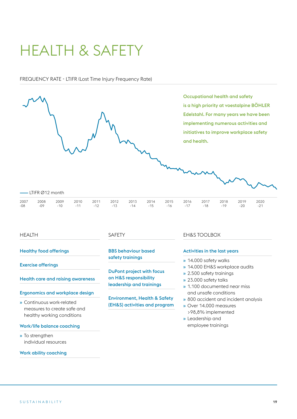# HEALTH & SAFETY

#### FREQUENCY RATE - LTIFR (Lost Time Injury Frequency Rate)